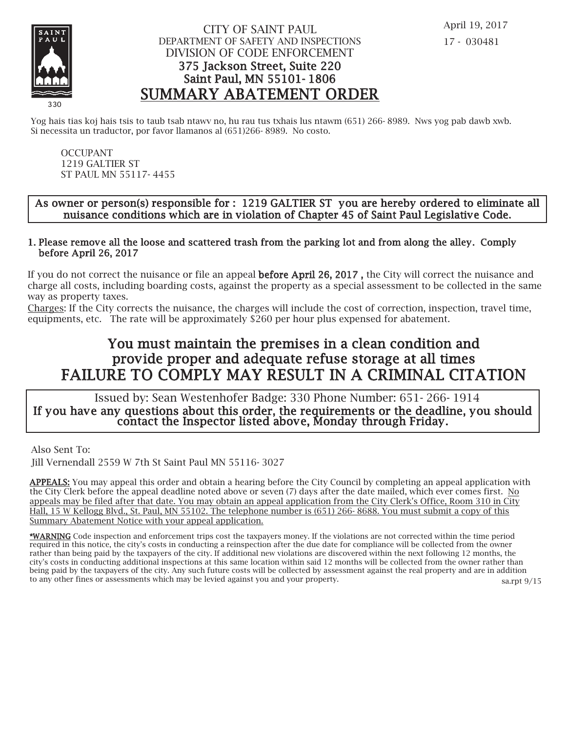

## CITY OF SAINT PAUL DEPARTMENT OF SAFETY AND INSPECTIONS DIVISION OF CODE ENFORCEMENT 375 Jackson Street, Suite 220 Saint Paul, MN 55101- 1806 SUMMARY ABATEMENT ORDER

Yog hais tias koj hais tsis to taub tsab ntawy no, hu rau tus txhais lus ntawm (651) 266-8989. Nws yog pab dawb xwb. Si necessita un traductor, por favor llamanos al (651)266- 8989. No costo.

OCCUPANT 1219 GALTIER ST ST PAUL MN 55117- 4455

### As owner or person(s) responsible for : 1219 GALTIER ST you are hereby ordered to eliminate all nuisance conditions which are in violation of Chapter 45 of Saint Paul Legislative Code.

#### Please remove all the loose and scattered trash from the parking lot and from along the alley. Comply 1. before April 26, 2017

If you do not correct the nuisance or file an appeal **before April 26, 2017**, the City will correct the nuisance and charge all costs, including boarding costs, against the property as a special assessment to be collected in the same way as property taxes.

Charges: If the City corrects the nuisance, the charges will include the cost of correction, inspection, travel time, equipments, etc. The rate will be approximately \$260 per hour plus expensed for abatement.

# You must maintain the premises in a clean condition and prov ide proper and adequate refuse storage at all times FAILURE TO COMPLY MAY RESULT IN A CRIMINAL CITATION

 Issued by: Sean Westenhofer Badge: 330 Phone Number: 651- 266- 1914 If you have any questions about this order, the requirements or the deadline, you should contact the Inspector listed above, Monday through Friday.

Also Sent To: Jill Vernendall 2559 W 7th St Saint Paul MN 55116- 3027

APPEALS: You may appeal this order and obtain a hearing before the City Council by completing an appeal application with the City Clerk before the appeal deadline noted above or seven (7) days after the date mailed, which ever comes first. No appeals may be filed after that date. You may obtain an appeal application from the City Clerk's Office, Room 310 in City Hall, 15 W Kellogg Blvd., St. Paul, MN 55102. The telephone number is (651) 266- 8688. You must submit a copy of this Summary Abatement Notice with your appeal application.

\*WARNING Code inspection and enforcement trips cost the taxpayers money. If the violations are not corrected within the time period required in this notice, the city's costs in conducting a reinspection after the due date for compliance will be collected from the owner rather than being paid by the taxpayers of the city. If additional new violations are discovered within the next following 12 months, the city's costs in conducting additional inspections at this same location within said 12 months will be collected from the owner rather than being paid by the taxpayers of the city. Any such future costs will be collected by assessment against the real property and are in addition to any other fines or assessments which may be levied against you and your property. sa.rpt 9/15